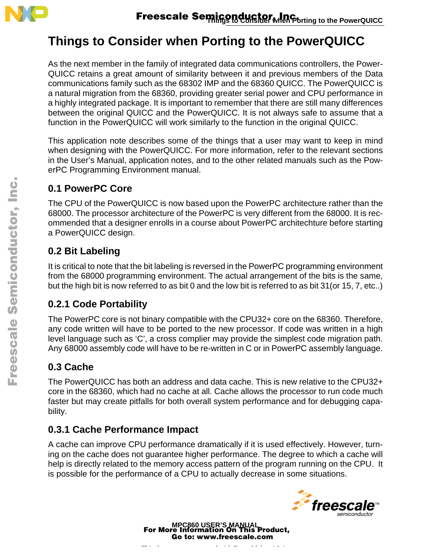

# **Things to Consider when Porting to the PowerQUICC**

As the next member in the family of integrated data communications controllers, the Power-QUICC retains a great amount of similarity between it and previous members of the Data communications family such as the 68302 IMP and the 68360 QUICC. The PowerQUICC is a natural migration from the 68360, providing greater serial power and CPU performance in a highly integrated package. It is important to remember that there are still many differences between the original QUICC and the PowerQUICC. It is not always safe to assume that a function in the PowerQUICC will work similarly to the function in the original QUICC.

This application note describes some of the things that a user may want to keep in mind when designing with the PowerQUICC. For more information, refer to the relevant sections in the User's Manual, application notes, and to the other related manuals such as the PowerPC Programming Environment manual.

### **0.1 PowerPC Core**

The CPU of the PowerQUICC is now based upon the PowerPC architecture rather than the 68000. The processor architecture of the PowerPC is very different from the 68000. It is recommended that a designer enrolls in a course about PowerPC architechture before starting a PowerQUICC design.

### **0.2 Bit Labeling**

It is critical to note that the bit labeling is reversed in the PowerPC programming environment from the 68000 programming environment. The actual arrangement of the bits is the same, but the high bit is now referred to as bit 0 and the low bit is referred to as bit 31(or 15, 7, etc..)

### **0.2.1 Code Portability**

The PowerPC core is not binary compatible with the CPU32+ core on the 68360. Therefore, any code written will have to be ported to the new processor. If code was written in a high level language such as 'C', a cross complier may provide the simplest code migration path. Any 68000 assembly code will have to be re-written in C or in PowerPC assembly language.

## **0.3 Cache**

The PowerQUICC has both an address and data cache. This is new relative to the CPU32+ core in the 68360, which had no cache at all. Cache allows the processor to run code much faster but may create pitfalls for both overall system performance and for debugging capability.

### **0.3.1 Cache Performance Impact**

A cache can improve CPU performance dramatically if it is used effectively. However, turning on the cache does not guarantee higher performance. The degree to which a cache will help is directly related to the memory access pattern of the program running on the CPU. It is possible for the performance of a CPU to actually decrease in some situations.



**MPC860 USER'S MANUAL** For More Information On This Product, Go to: www.freescale.com

Thi d t t d ith F M k 4 0 4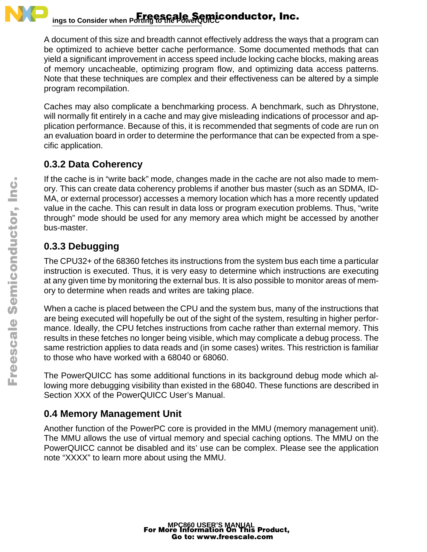

#### **Things to Consider when Porting to the PowerQUICC**  Freescale Semiconductor, Inc.

A document of this size and breadth cannot effectively address the ways that a program can be optimized to achieve better cache performance. Some documented methods that can yield a significant improvement in access speed include locking cache blocks, making areas of memory uncacheable, optimizing program flow, and optimizing data access patterns. Note that these techniques are complex and their effectiveness can be altered by a simple program recompilation.

Caches may also complicate a benchmarking process. A benchmark, such as Dhrystone, will normally fit entirely in a cache and may give misleading indications of processor and application performance. Because of this, it is recommended that segments of code are run on an evaluation board in order to determine the performance that can be expected from a specific application.

### **0.3.2 Data Coherency**

If the cache is in "write back" mode, changes made in the cache are not also made to memory. This can create data coherency problems if another bus master (such as an SDMA, ID-MA, or external processor) accesses a memory location which has a more recently updated value in the cache. This can result in data loss or program execution problems. Thus, "write through" mode should be used for any memory area which might be accessed by another bus-master.

## **0.3.3 Debugging**

The CPU32+ of the 68360 fetches its instructions from the system bus each time a particular instruction is executed. Thus, it is very easy to determine which instructions are executing at any given time by monitoring the external bus. It is also possible to monitor areas of memory to determine when reads and writes are taking place.

When a cache is placed between the CPU and the system bus, many of the instructions that are being executed will hopefully be out of the sight of the system, resulting in higher performance. Ideally, the CPU fetches instructions from cache rather than external memory. This results in these fetches no longer being visible, which may complicate a debug process. The same restriction applies to data reads and (in some cases) writes. This restriction is familiar to those who have worked with a 68040 or 68060.

The PowerQUICC has some additional functions in its background debug mode which allowing more debugging visibility than existed in the 68040. These functions are described in Section XXX of the PowerQUICC User's Manual.

## **0.4 Memory Management Unit**

Another function of the PowerPC core is provided in the MMU (memory management unit). The MMU allows the use of virtual memory and special caching options. The MMU on the PowerQUICC cannot be disabled and its' use can be complex. Please see the application note "XXXX" to learn more about using the MMU.